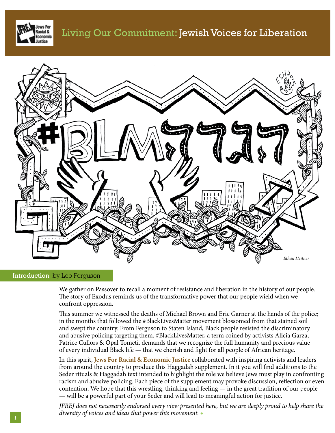



# Introductionby Leo Ferguson

We gather on Passover to recall a moment of resistance and liberation in the history of our people. The story of Exodus reminds us of the transformative power that our people wield when we confront oppression.

This summer we witnessed the deaths of Michael Brown and Eric Garner at the hands of the police; in the months that followed the #BlackLivesMatter movement blossomed from that stained soil and swept the country. From Ferguson to Staten Island, Black people resisted the discriminatory and abusive policing targeting them. #BlackLivesMatter, a term coined by activists Alicia Garza, Patrice Cullors & Opal Tometi, demands that we recognize the full humanity and precious value of every individual Black life — that we cherish and fight for all people of African heritage.

In this spirit, **Jews For Racial & Economic Justice** collaborated with inspiring activists and leaders from around the country to produce this Haggadah supplement. In it you will find additions to the Seder rituals & Haggadah text intended to highlight the role we believe Jews must play in confronting racism and abusive policing. Each piece of the supplement may provoke discussion, reflection or even contention. We hope that this wrestling, thinking and feeling — in the great tradition of our people — will be a powerful part of your Seder and will lead to meaningful action for justice.

*JFREJ does not necessarily endorsed every view presented here, but we are deeply proud to help share the diversity of voices and ideas that power this movement.* ◆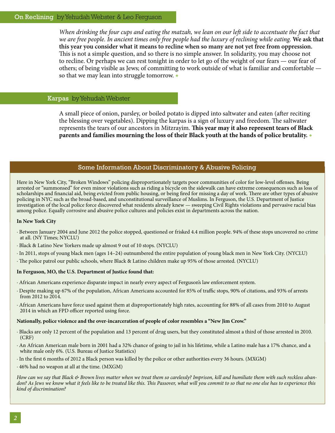# On Reclining by Yehudah Webster & Leo Ferguson

*When drinking the four cups and eating the matzah, we lean on our left side to accentuate the fact that we are free people. In ancient times only free people had the luxury of reclining while eating.* **We ask that this year you consider what it means to recline when so many are not yet free from oppression.**  This is not a simple question, and so there is no simple answer. In solidarity, you may choose not to recline. Or perhaps we can rest tonight in order to let go of the weight of our fears — our fear of others; of being visible as Jews; of committing to work outside of what is familiar and comfortable so that we may lean into struggle tomorrow. ◆

## Karpas by Yehudah Webster

A small piece of onion, parsley, or boiled potato is dipped into saltwater and eaten (after reciting the blessing over vegetables). Dipping the karpas is a sign of luxury and freedom. The saltwater represents the tears of our ancestors in Mitzrayim. **This year may it also represent tears of Black parents and families mourning the loss of their Black youth at the hands of police brutality.** ◆

## Some Information About Discriminatory & Abusive Policing

Here in New York City, "Broken Windows" policing disproportionately targets poor communities of color for low-level offenses. Being arrested or "summonsed" for even minor violations such as riding a bicycle on the sidewalk can have extreme consequences such as loss of scholarships and financial aid, being evicted from public housing, or being fired for missing a day of work. There are other types of abusive policing in NYC such as the broad-based, and unconstitutional surveillance of Muslims. In Ferguson, the U.S. Department of Justice investigation of the local police force discovered what residents already knew — sweeping Civil Rights violations and pervasive racial bias among police. Equally corrosive and abusive police cultures and policies exist in departments across the nation.

#### **In New York City**

- · Between January 2004 and June 2012 the police stopped, questioned or frisked 4.4 million people. 94% of these stops uncovered no crime at all. (NY Times; NYCLU)
- · Black & Latino New Yorkers made up almost 9 out of 10 stops. (NYCLU)
- · In 2011, stops of young black men (ages 14–24) outnumbered the entire population of young black men in New York City. (NYCLU)
- · The police patrol our public schools, where Black & Latino children make up 95% of those arrested. (NYCLU)

#### **In Ferguson, MO, the U.S. Department of Justice found that:**

- · African Americans experience disparate impact in nearly every aspect of Ferguson's law enforcement system.
- · Despite making up 67% of the population, African Americans accounted for 85% of traffic stops, 90% of citations, and 93% of arrests from 2012 to 2014.
- · African Americans have force used against them at disproportionately high rates, accounting for 88% of all cases from 2010 to August 2014 in which an FPD officer reported using force.

#### **Nationally, police violence and the over-incarceration of people of color resembles a "New Jim Crow."**

- · Blacks are only 12 percent of the population and 13 percent of drug users, but they constituted almost a third of those arrested in 2010. (CRF)
- · An African American male born in 2001 had a 32% chance of going to jail in his lifetime, while a Latino male has a 17% chance, and a white male only 6%. (U.S. Bureau of Justice Statistics)
- · In the first 6 months of 2012 a Black person was killed by the police or other authorities every 36 hours. (MXGM)
- · 46% had no weapon at all at the time. (MXGM)

*How can we say that Black & Brown lives matter when we treat them so carelessly? Imprison, kill and humiliate them with such reckless abandon? As Jews we know what it feels like to be treated like this. This Passover, what will you commit to so that no one else has to experience this kind of discrimination?*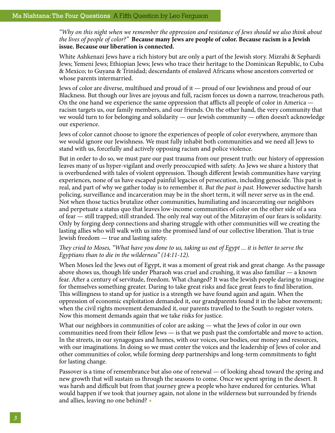*"Why on this night when we remember the oppression and resistance of Jews should we also think about the lives of people of color?"* **Because many Jews are people of color. Because racism is a Jewish issue. Because our liberation is connected.** 

White Ashkenazi Jews have a rich history but are only a part of the Jewish story. Mizrahi & Sephardi Jews; Yemeni Jews; Ethiopian Jews; Jews who trace their heritage to the Dominican Republic, to Cuba & Mexico; to Guyana & Trinidad; descendants of enslaved Africans whose ancestors converted or whose parents intermarried.

Jews of color are diverse, multihued and proud of it — proud of our Jewishness and proud of our Blackness. But though our lives are joyous and full, racism forces us down a narrow, treacherous path. On the one hand we experience the same oppression that afflicts all people of color in America racism targets us, our family members, and our friends. On the other hand, the very community that we would turn to for belonging and solidarity — our Jewish community — often doesn't acknowledge our experience.

Jews of color cannot choose to ignore the experiences of people of color everywhere, anymore than we would ignore our Jewishness. We must fully inhabit both communities and we need all Jews to stand with us, forcefully and actively opposing racism and police violence.

But in order to do so, we must pare our past trauma from our present truth: our history of oppression leaves many of us hyper-vigilant and overly preoccupied with safety. As Jews we share a history that is overburdened with tales of violent oppression. Though different Jewish communities have varying experiences, none of us have escaped painful legacies of persecution, including genocide. This past is real, and part of why we gather today is to remember it. *But the past is past.* However seductive harsh policing, surveillance and incarceration may be in the short term, it will never serve us in the end. Not when those tactics brutalize other communities, humiliating and incarcerating our neighbors and perpetuate a status quo that leaves low-income communities of color on the other side of a sea of fear — still trapped; still stranded. The only real way out of the Mitzrayim of our fears is solidarity. Only by forging deep connections and sharing struggle with other communities will we creating the lasting allies who will walk with us into the promised land of our collective liberation. That is true Jewish freedom — true and lasting safety.

# *They cried to Moses, "What have you done to us, taking us out of Egypt ... it is better to serve the Egyptians than to die in the wilderness" (14:11-12).*

When Moses led the Jews out of Egypt, it was a moment of great risk and great change. As the passage above shows us, though life under Pharaoh was cruel and crushing, it was also familiar — a known fear. After a century of servitude, freedom. What changed? It was the Jewish people daring to imagine for themselves something greater. Daring to take great risks and face great fears to find liberation. This willingness to stand up for justice is a strength we have found again and again. When the oppression of economic exploitation demanded it, our grandparents found it in the labor movement; when the civil rights movement demanded it, our parents travelled to the South to register voters. Now this moment demands again that we take risks for justice.

What our neighbors in communities of color are asking — what the Jews of color in our own communities need from their fellow Jews — is that we push past the comfortable and move to action. In the streets, in our synagogues and homes, with our voices, our bodies, our money and resources, with our imaginations. In doing so we must center the voices and the leadership of Jews of color and other communities of color, while forming deep partnerships and long-term commitments to fight for lasting change.

Passover is a time of remembrance but also one of renewal — of looking ahead toward the spring and new growth that will sustain us through the seasons to come. Once we spent spring in the desert. It was harsh and difficult but from that journey grew a people who have endured for centuries. What would happen if we took that journey again, not alone in the wilderness but surrounded by friends and allies, leaving no one behind? ◆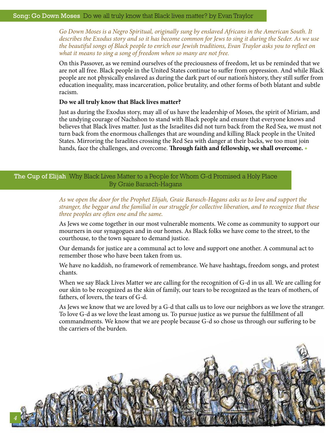*Go Down Moses is a Negro Spiritual, originally sung by enslaved Africans in the American South. It describes the Exodus story and so it has become common for Jews to sing it during the Seder. As we use the beautiful songs of Black people to enrich our Jewish traditions, Evan Traylor asks you to reflect on what it means to sing a song of freedom when so many are not free.*

On this Passover, as we remind ourselves of the preciousness of freedom, let us be reminded that we are not all free. Black people in the United States continue to suffer from oppression. And while Black people are not physically enslaved as during the dark part of our nation's history, they still suffer from education inequality, mass incarceration, police brutality, and other forms of both blatant and subtle racism.

#### **Do we all truly know that Black lives matter?**

Just as during the Exodus story, may all of us have the leadership of Moses, the spirit of Miriam, and the undying courage of Nachshon to stand with Black people and ensure that everyone knows and believes that Black lives matter. Just as the Israelites did not turn back from the Red Sea, we must not turn back from the enormous challenges that are wounding and killing Black people in the United States. Mirroring the Israelites crossing the Red Sea with danger at their backs, we too must join hands, face the challenges, and overcome. **Through faith and fellowship, we shall overcome.** ◆

# The Cup of Elijah Why Black Lives Matter to a People for Whom G-d Promised a Holy Place By Graie Barasch-Hagans

*As we open the door for the Prophet Elijah, Graie Barasch-Hagans asks us to love and support the stranger, the beggar and the familial in our struggle for collective liberation, and to recognize that these three peoples are often one and the same.* 

As Jews we come together in our most vulnerable moments. We come as community to support our mourners in our synagogues and in our homes. As Black folks we have come to the street, to the courthouse, to the town square to demand justice.

Our demands for justice are a communal act to love and support one another. A communal act to remember those who have been taken from us.

We have no kaddish, no framework of remembrance. We have hashtags, freedom songs, and protest chants.

When we say Black Lives Matter we are calling for the recognition of G-d in us all. We are calling for our skin to be recognized as the skin of family, our tears to be recognized as the tears of mothers, of fathers, of lovers, the tears of G-d.

As Jews we know that we are loved by a G-d that calls us to love our neighbors as we love the stranger. To love G-d as we love the least among us. To pursue justice as we pursue the fulfillment of all commandments. We know that we are people because G-d so chose us through our suffering to be the carriers of the burden.

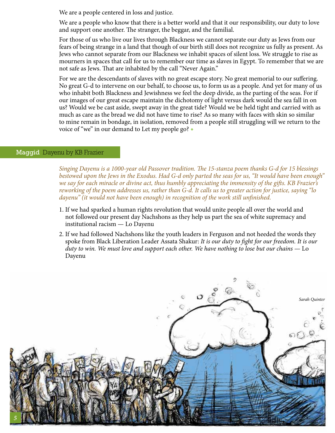We are a people centered in loss and justice.

We are a people who know that there is a better world and that it our responsibility, our duty to love and support one another. The stranger, the beggar, and the familial.

For those of us who live our lives through Blackness we cannot separate our duty as Jews from our fears of being strange in a land that though of our birth still does not recognize us fully as present. As Jews who cannot separate from our Blackness we inhabit spaces of silent loss. We struggle to rise as mourners in spaces that call for us to remember our time as slaves in Egypt. To remember that we are not safe as Jews. That are inhabited by the call "Never Again."

For we are the descendants of slaves with no great escape story. No great memorial to our suffering. No great G-d to intervene on our behalf, to choose us, to form us as a people. And yet for many of us who inhabit both Blackness and Jewishness we feel the deep divide, as the parting of the seas. For if our images of our great escape maintain the dichotomy of light versus dark would the sea fall in on us? Would we be cast aside, swept away in the great tide? Would we be held tight and carried with as much as care as the bread we did not have time to rise? As so many with faces with skin so similar to mine remain in bondage, in isolation, removed from a people still struggling will we return to the voice of "we" in our demand to Let my people go? ◆

## Maggid Dayenu by KB Frazier

*Singing Dayenu is a 1000-year old Passover tradition. The 15-stanza poem thanks G-d for 15 blessings bestowed upon the Jews in the Exodus. Had G-d only parted the seas for us, "It would have been enough" we say for each miracle or divine act, thus humbly appreciating the immensity of the gifts. KB Frazier's reworking of the poem addresses us, rather than G-d. It calls us to greater action for justice, saying "lo dayenu" (it would not have been enough) in recognition of the work still unfinished.*

- 1. If we had sparked a human rights revolution that would unite people all over the world and not followed our present day Nachshons as they help us part the sea of white supremacy and institutional racism — Lo Dayenu
- 2. If we had followed Nachshons like the youth leaders in Ferguson and not heeded the words they spoke from Black Liberation Leader Assata Shakur: *It is our duty to fight for our freedom. It is our duty to win. We must love and support each other. We have nothing to lose but our chains* — Lo Dayenu

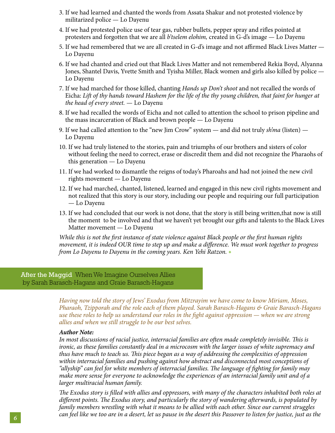- 3. If we had learned and chanted the words from Assata Shakur and not protested violence by militarized police — Lo Dayenu
- 4. If we had protested police use of tear gas, rubber bullets, pepper spray and rifles pointed at protesters and forgotten that we are all *b'tselem elohim,* created in G-d's image — Lo Dayenu
- 5. If we had remembered that we are all created in G-d's image and not affirmed Black Lives Matter Lo Dayenu
- 6. If we had chanted and cried out that Black Lives Matter and not remembered Rekia Boyd, Alyanna Jones, Shantel Davis, Yvette Smith and Tyisha Miller, Black women and girls also killed by police — Lo Dayenu
- 7. If we had marched for those killed, chanting *Hands up Don't shoot* and not recalled the words of Eicha: *Lift of thy hands toward Hashem for the life of the thy young children, that faint for hunger at the head of every street.* — Lo Dayenu
- 8. If we had recalled the words of Eicha and not called to attention the school to prison pipeline and the mass incarceration of Black and brown people — Lo Dayenu
- 9. If we had called attention to the "new Jim Crow" system and did not truly *sh'ma* (listen) Lo Dayenu
- 10. If we had truly listened to the stories, pain and triumphs of our brothers and sisters of color without feeling the need to correct, erase or discredit them and did not recognize the Pharaohs of this generation — Lo Dayenu
- 11. If we had worked to dismantle the reigns of today's Pharoahs and had not joined the new civil rights movement — Lo Dayenu
- 12. If we had marched, chanted, listened, learned and engaged in this new civil rights movement and not realized that this story is our story, including our people and requiring our full participation — Lo Dayenu
- 13. If we had concluded that our work is not done, that the story is still being written,that now is still the moment to be involved and that we haven't yet brought our gifts and talents to the Black Lives Matter movement — Lo Dayenu

*While this is not the first instance of state violence against Black people or the first human rights movement, it is indeed OUR time to step up and make a difference. We must work together to progress from Lo Dayenu to Dayenu in the coming years. Ken Yehi Ratzon.* ◆

After the Maggid When We Imagine Ourselves Allies by Sarah Barasch-Hagans and Graie Barasch-Hagans

> *Having now told the story of Jews' Exodus from Mitzrayim we have come to know Miriam, Moses, Pharaoh, Tzipporah and the role each of them played. Sarah Barasch-Hagans & Graie Barasch-Hagans use these roles to help us understand our roles in the fight against oppression — when we are strong allies and when we still struggle to be our best selves.*

#### *Author Note:*

In most discussions of racial justice, interracial families are often made completely invisible. This is *ironic, as these families constantly deal in a microcosm with the larger issues of white supremacy and thus have much to teach us. This piece began as a way of addressing the complexities of oppression within interracial families and pushing against how abstract and disconnected most conceptions of "allyship" can feel for white members of interracial families. The language of fighting for family may make more sense for everyone to acknowledge the experiences of an interracial family unit and of a larger multiracial human family.* 

*The Exodus story is filled with allies and oppressors, with many of the characters inhabited both roles at different points. The Exodus story, and particularly the story of wandering afterwards, is populated by family members wrestling with what it means to be allied with each other. Since our current struggles can feel like we too are in a desert, let us pause in the desert this Passover to listen for justice, just as the*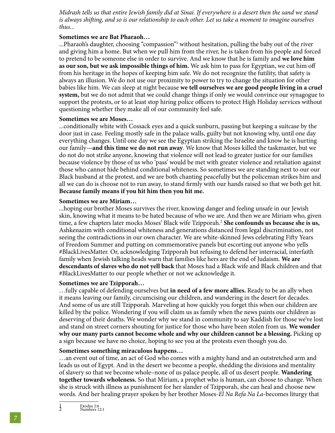*Midrash tells us that entire Jewish family did at Sinai. If everywhere is a desert then the sand we stand is always shifting, and so is our relationship to each other. Let us take a moment to imagine ourselves thus...*

# **Sometimes we are Bat Pharaoh…**

...Pharaoh's daughter, choosing "compassion"1 without hesitation, pulling the baby out of the river and giving him a home. But when we pull him from the river, he is taken from his people and forced to pretend to be someone else in order to survive. And we know that he is family and **we love him as our son, but we ask impossible things of him.** We ask him to pass for Egyptian, we cut him off from his heritage in the hopes of keeping him safe. We do not recognize the futility, that safety is always an illusion. We do not use our proximity to power to try to change the situation for other babies like him. We can sleep at night because **we tell ourselves we are good people living in a cruel system,** but we do not admit that we could change things if only we would convince our synagogue to support the protests, or to at least stop hiring police officers to protect High Holiday services without questioning whether they make all of our community feel safe.

# **Sometimes we are Moses…**

...conditionally white with Cossack eyes and a quick sunburn, passing but keeping a suitcase by the door just in case. Feeling mostly safe in the palace walls, guilty but not knowing why, until one day everything changes. Until one day we see the Egyptian striking the Israelite and know he is hurting our family—**and this time we do not run away**. We know that Moses killed the taskmaster, but we do not do not strike anyone, knowing that violence will not lead to greater justice for our families because violence by those of us who 'pass' would be met with greater violence and retaliation against those who cannot hide behind conditional whiteness. So sometimes we are standing next to our our Black husband at the protest, and we are both chanting peacefully but the policeman strikes him and all we can do is choose not to run away, to stand firmly with our hands raised so that we both get hit. **Because family means if you hit him then you hit me.**

# **Sometimes we are Miriam…**

...hoping our brother Moses survives the river, knowing danger and feeling unsafe in our Jewish skin, knowing what it means to be hated because of who we are. And then we are Miriam who, given time, a few chapters later mocks Moses' Black wife Tzipporah.2 **She confounds us because she is us,** Ashkenazim with conditional whiteness and generations distanced from legal discrimination, not seeing the contradictions in our own character. We are white-skinned Jews celebrating Fifty Years of Freedom Summer and putting on commemorative panels but escorting out anyone who yells #BlackLivesMatter. Or, acknowledging Tzipporah but refusing to defend her interracial, interfaith family when Jewish talking heads warn that families like hers are the end of Judaism. **We are descendants of slaves who do not yell back** that Moses had a Black wife and Black children and that #BlackLivesMatter to our people whether or not we acknowledge it.

# **Sometimes we are Tzipporah…**

…fully capable of defending ourselves but **in need of a few more allies.** Ready to be an ally when it means leaving our family, circumcising our children, and wandering in the desert for decades. And some of us are still Tzipporah. Marveling at how quickly you forget this when our children are killed by the police. Wondering if you will claim us as family when the news paints our children as deserving of their deaths. We wonder why we stand in community to say Kaddish for those we've lost and stand on street corners shouting for justice for those who have been stolen from us. **We wonder why our many parts cannot become whole and why our children cannot be a blessing.** Picking up a sign because we have no choice, hoping to see you at the protests even though you do.

## **Sometimes something miraculous happens…**

…an event out of time, an act of God who comes with a mighty hand and an outstretched arm and leads us out of Egypt. And in the desert we become a people, shedding the divisions and mentality of slavery so that we become whole–none of us palace people, all of us desert people. **Wandering together towards wholeness.** So that Miriam, a prophet who is human, can choose to change. When she is struck with illness as punishment for her slander of Tzipporah, she can heal and choose new words. And her healing prayer spoken by her brother Moses-*El Na Refa Na La*-becomes liturgy that

<sup>1&</sup>lt;br>2 Exodus 2:6<br>Numbers 1 Numbers 12:1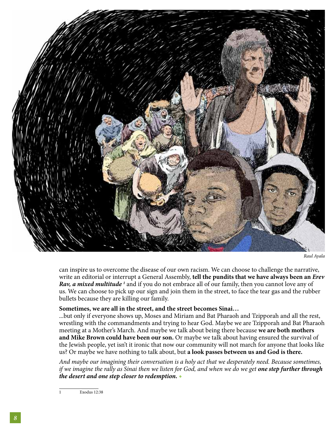

*Raul Ayala*

can inspire us to overcome the disease of our own racism. We can choose to challenge the narrative, write an editorial or interrupt a General Assembly, **tell the pundits that we have always been an** *Erev Rav, a mixed multitude 1* and if you do not embrace all of our family, then you cannot love any of us. We can choose to pick up our sign and join them in the street, to face the tear gas and the rubber bullets because they are killing our family.

#### **Sometimes, we are all in the street, and the street becomes Sinai…**

...but only if everyone shows up, Moses and Miriam and Bat Pharaoh and Tzipporah and all the rest, wrestling with the commandments and trying to hear God. Maybe we are Tzipporah and Bat Pharaoh meeting at a Mother's March. And maybe we talk about being there because **we are both mothers and Mike Brown could have been our son.** Or maybe we talk about having ensured the survival of the Jewish people, yet isn't it ironic that now our community will not march for anyone that looks like us? Or maybe we have nothing to talk about, but **a look passes between us and God is there.** 

*And maybe our imagining their conversation is a holy act that we desperately need. Because sometimes, if we imagine the rally as Sinai then we listen for God, and when we do we get one step further through the desert and one step closer to redemption.* ◆

1 Exodus 12:38